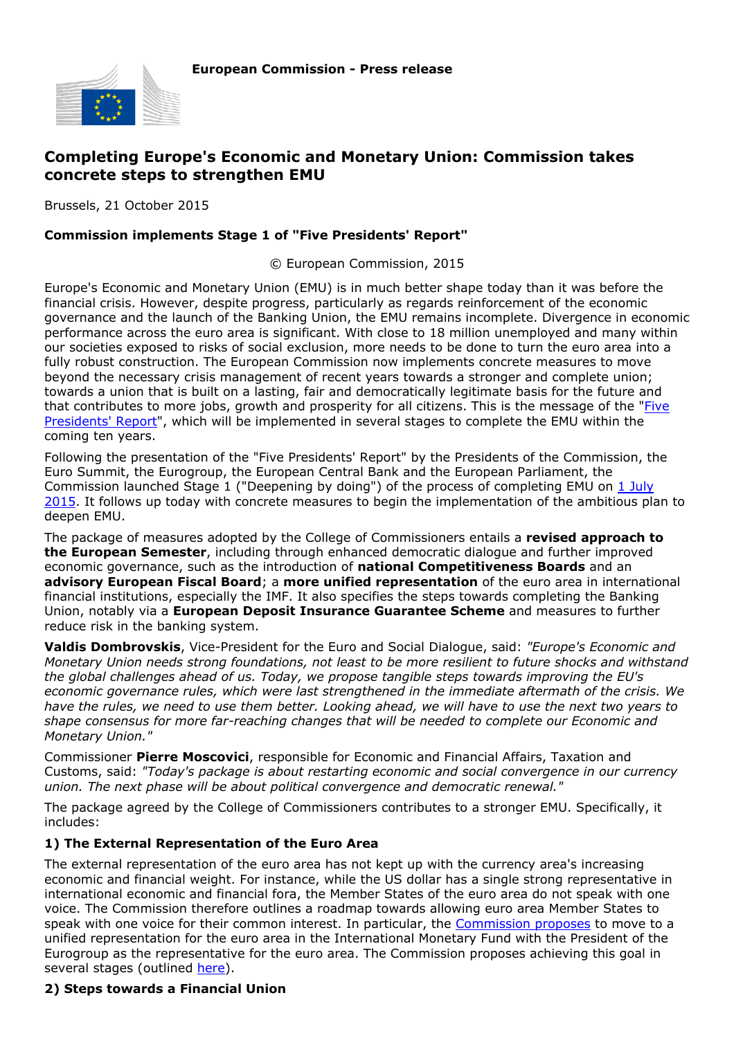

# **Completing Europe's Economic and Monetary Union: Commission takes concrete steps to strengthen EMU**

Brussels, 21 October 2015

#### **Commission implements Stage 1 of "Five Presidents' Report"**

© European Commission, 2015

Europe's Economic and Monetary Union (EMU) is in much better shape today than it was before the financial crisis. However, despite progress, particularly as regards reinforcement of the economic governance and the launch of the Banking Union, the EMU remains incomplete. Divergence in economic performance across the euro area is significant. With close to 18 million unemployed and many within our societies exposed to risks of social exclusion, more needs to be done to turn the euro area into a fully robust construction. The European Commission now implements concrete measures to move beyond the necessary crisis management of recent years towards a stronger and complete union; towards a union that is built on a lasting, fair and democratically legitimate basis for the future and that contributes to more jobs, growth and prosperity for all citizens. This is the message of the ["Five](http://ec.europa.eu/priorities/economic-monetary-union/docs/5-presidents-report_en.pdf) [Presidents' Report](http://ec.europa.eu/priorities/economic-monetary-union/docs/5-presidents-report_en.pdf)", which will be implemented in several stages to complete the EMU within the coming ten years.

Following the presentation of the "Five Presidents' Report" by the Presidents of the Commission, the Euro Summit, the Eurogroup, the European Central Bank and the European Parliament, the Commission launched Stage 1 ("Deepening by doing") of the process of completing EMU on [1 July](http://europa.eu/rapid/press-release_IP-15-5294_en.htm) [2015](http://europa.eu/rapid/press-release_IP-15-5294_en.htm). It follows up today with concrete measures to begin the implementation of the ambitious plan to deepen EMU.

The package of measures adopted by the College of Commissioners entails a **revised approach to the European Semester**, including through enhanced democratic dialogue and further improved economic governance, such as the introduction of **national Competitiveness Boards** and an **advisory European Fiscal Board**; a **more unified representation** of the euro area in international financial institutions, especially the IMF. It also specifies the steps towards completing the Banking Union, notably via a **European Deposit Insurance Guarantee Scheme** and measures to further reduce risk in the banking system.

**Valdis Dombrovskis**, Vice-President for the Euro and Social Dialogue, said: *"Europe's Economic and Monetary Union needs strong foundations, not least to be more resilient to future shocks and withstand the global challenges ahead of us. Today, we propose tangible steps towards improving the EU's economic governance rules, which were last strengthened in the immediate aftermath of the crisis. We have the rules, we need to use them better. Looking ahead, we will have to use the next two years to shape consensus for more far-reaching changes that will be needed to complete our Economic and Monetary Union."*

Commissioner **Pierre Moscovici**, responsible for Economic and Financial Affairs, Taxation and Customs, said: *"Today's package is about restarting economic and social convergence in our currency union. The next phase will be about political convergence and democratic renewal."*

The package agreed by the College of Commissioners contributes to a stronger EMU. Specifically, it includes:

#### **1) The External Representation of the Euro Area**

The external representation of the euro area has not kept up with the currency area's increasing economic and financial weight. For instance, while the US dollar has a single strong representative in international economic and financial fora, the Member States of the euro area do not speak with one voice. The Commission therefore outlines a roadmap towards allowing euro area Member States to speak with one voice for their common interest. In particular, the [Commission proposes](http://www.ec.europa.eu/priorities/economic-monetary-union/docs/single-market-strategy/proposal-external-representation_en.pdf) to move to a unified representation for the euro area in the International Monetary Fund with the President of the Eurogroup as the representative for the euro area. The Commission proposes achieving this goal in several stages (outlined [here](http://europa.eu/rapid/press-release_MEMO-15-5876_en.htm)).

### **2) Steps towards a Financial Union**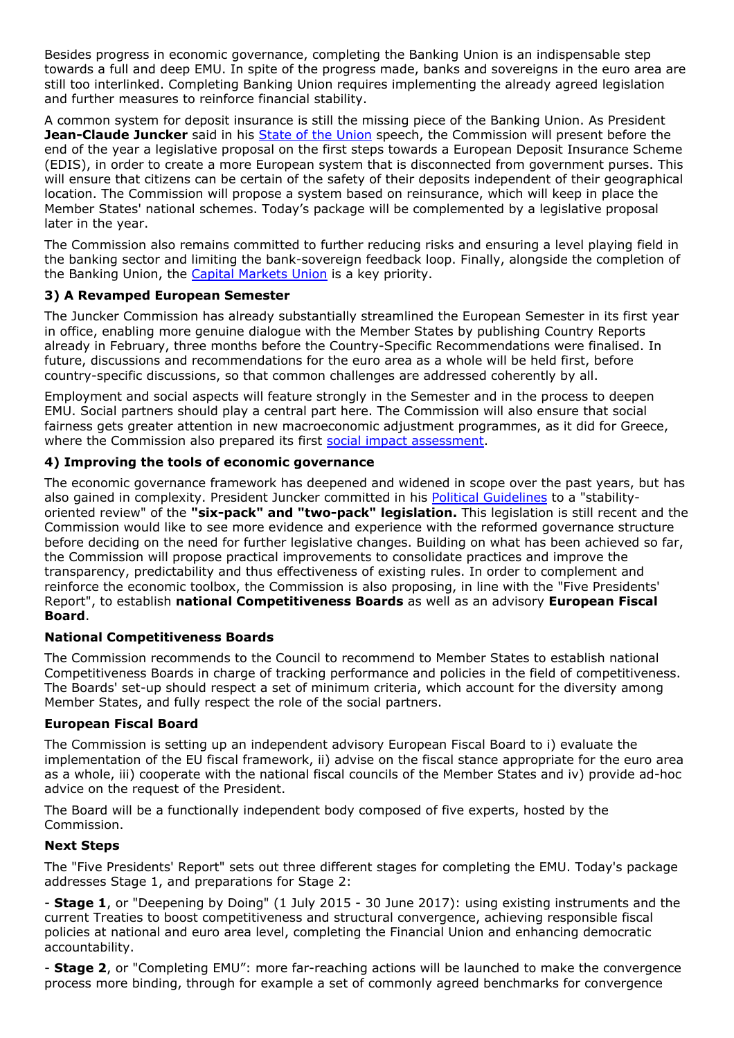Besides progress in economic governance, completing the Banking Union is an indispensable step towards a full and deep EMU. In spite of the progress made, banks and sovereigns in the euro area are still too interlinked. Completing Banking Union requires implementing the already agreed legislation and further measures to reinforce financial stability.

A common system for deposit insurance is still the missing piece of the Banking Union. As President **Jean-Claude Juncker** said in his [State of the Union](http://ec.europa.eu/priorities/soteu/docs/state_of_the_union_2015_de.pdf) speech, the Commission will present before the end of the year a legislative proposal on the first steps towards a European Deposit Insurance Scheme (EDIS), in order to create a more European system that is disconnected from government purses. This will ensure that citizens can be certain of the safety of their deposits independent of their geographical location. The Commission will propose a system based on reinsurance, which will keep in place the Member States' national schemes. Today's package will be complemented by a legislative proposal later in the year.

The Commission also remains committed to further reducing risks and ensuring a level playing field in the banking sector and limiting the bank-sovereign feedback loop. Finally, alongside the completion of the Banking Union, the [Capital Markets Union](http://europa.eu/rapid/press-release_IP-15-5731_en.htm) is a key priority.

# **3) A Revamped European Semester**

The Juncker Commission has already substantially streamlined the European Semester in its first year in office, enabling more genuine dialogue with the Member States by publishing Country Reports already in February, three months before the Country-Specific Recommendations were finalised. In future, discussions and recommendations for the euro area as a whole will be held first, before country-specific discussions, so that common challenges are addressed coherently by all.

Employment and social aspects will feature strongly in the Semester and in the process to deepen EMU. Social partners should play a central part here. The Commission will also ensure that social fairness gets greater attention in new macroeconomic adjustment programmes, as it did for Greece, where the Commission also prepared its first [social impact assessment](http://ec.europa.eu/economy_finance/assistance_eu_ms/greek_loan_facility/pdf/assessment_social_impact_en.pdf).

# **4) Improving the tools of economic governance**

The economic governance framework has deepened and widened in scope over the past years, but has also gained in complexity. President Juncker committed in his [Political Guidelines](http://ec.europa.eu/priorities/docs/pg_en.pdf) to a "stabilityoriented review" of the **"six-pack" and "two-pack" legislation.** This legislation is still recent and the Commission would like to see more evidence and experience with the reformed governance structure before deciding on the need for further legislative changes. Building on what has been achieved so far, the Commission will propose practical improvements to consolidate practices and improve the transparency, predictability and thus effectiveness of existing rules. In order to complement and reinforce the economic toolbox, the Commission is also proposing, in line with the "Five Presidents' Report", to establish **national Competitiveness Boards** as well as an advisory **European Fiscal Board**.

### **National Competitiveness Boards**

The Commission recommends to the Council to recommend to Member States to establish national Competitiveness Boards in charge of tracking performance and policies in the field of competitiveness. The Boards' set-up should respect a set of minimum criteria, which account for the diversity among Member States, and fully respect the role of the social partners.

### **European Fiscal Board**

The Commission is setting up an independent advisory European Fiscal Board to i) evaluate the implementation of the EU fiscal framework, ii) advise on the fiscal stance appropriate for the euro area as a whole, iii) cooperate with the national fiscal councils of the Member States and iv) provide ad-hoc advice on the request of the President.

The Board will be a functionally independent body composed of five experts, hosted by the Commission.

### **Next Steps**

The "Five Presidents' Report" sets out three different stages for completing the EMU. Today's package addresses Stage 1, and preparations for Stage 2:

- **Stage 1**, or "Deepening by Doing" (1 July 2015 - 30 June 2017): using existing instruments and the current Treaties to boost competitiveness and structural convergence, achieving responsible fiscal policies at national and euro area level, completing the Financial Union and enhancing democratic accountability.

- **Stage 2**, or "Completing EMU": more far-reaching actions will be launched to make the convergence process more binding, through for example a set of commonly agreed benchmarks for convergence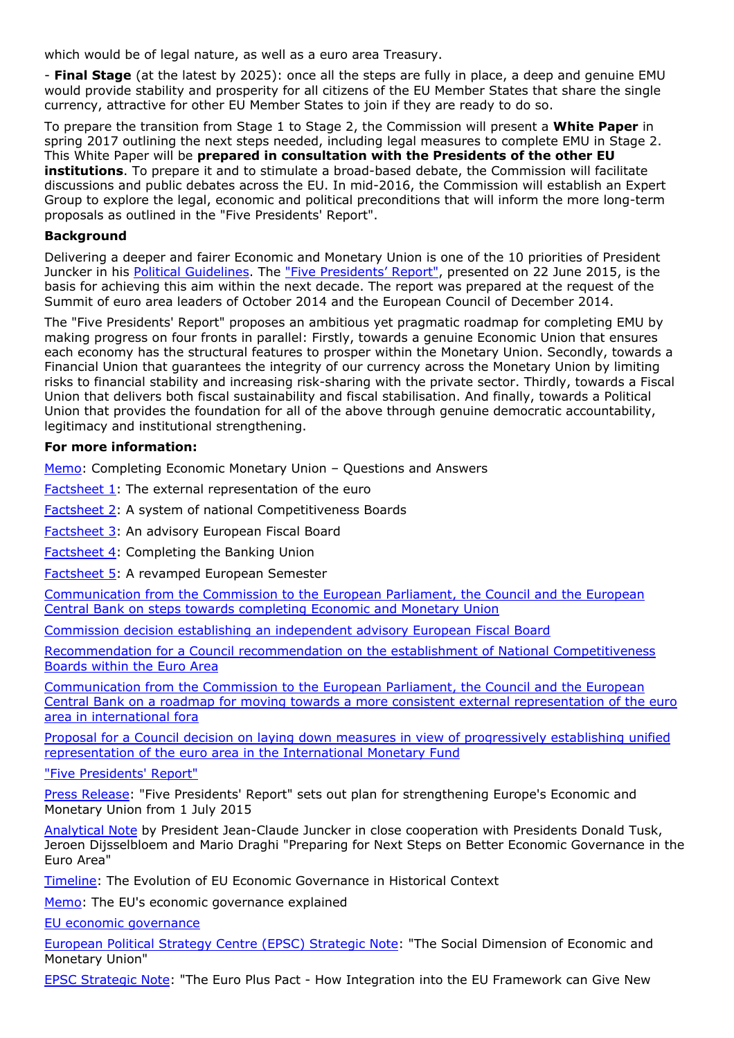which would be of legal nature, as well as a euro area Treasury.

- **Final Stage** (at the latest by 2025): once all the steps are fully in place, a deep and genuine EMU would provide stability and prosperity for all citizens of the EU Member States that share the single currency, attractive for other EU Member States to join if they are ready to do so.

To prepare the transition from Stage 1 to Stage 2, the Commission will present a **White Paper** in spring 2017 outlining the next steps needed, including legal measures to complete EMU in Stage 2. This White Paper will be **prepared in consultation with the Presidents of the other EU institutions**. To prepare it and to stimulate a broad-based debate, the Commission will facilitate discussions and public debates across the EU. In mid-2016, the Commission will establish an Expert Group to explore the legal, economic and political preconditions that will inform the more long-term proposals as outlined in the "Five Presidents' Report".

## **Background**

Delivering a deeper and fairer Economic and Monetary Union is one of the 10 priorities of President Juncker in his [Political Guidelines.](http://ec.europa.eu/priorities/docs/pg_en.pdf) The ["Five Presidents' Report"](http://europa.eu/rapid/press-release_IP-15-5240_en.htm), presented on 22 June 2015, is the basis for achieving this aim within the next decade. The report was prepared at the request of the Summit of euro area leaders of October 2014 and the European Council of December 2014.

The "Five Presidents' Report" proposes an ambitious yet pragmatic roadmap for completing EMU by making progress on four fronts in parallel: Firstly, towards a genuine Economic Union that ensures each economy has the structural features to prosper within the Monetary Union. Secondly, towards a Financial Union that guarantees the integrity of our currency across the Monetary Union by limiting risks to financial stability and increasing risk-sharing with the private sector. Thirdly, towards a Fiscal Union that delivers both fiscal sustainability and fiscal stabilisation. And finally, towards a Political Union that provides the foundation for all of the above through genuine democratic accountability, legitimacy and institutional strengthening.

### **For more information:**

[Memo](http://europa.eu/rapid/press-release_MEMO-15-5876_en.htm): Completing Economic Monetary Union – Questions and Answers

[Factsheet 1](http://www.ec.europa.eu/priorities/economic-monetary-union/docs/single-market-strategy/factsheet-external-representation_en.pdf): The external representation of the euro

[Factsheet 2](http://www.ec.europa.eu/priorities/economic-monetary-union/docs/single-market-strategy/factsheet-ncbs_en.pdf): A system of national Competitiveness Boards

[Factsheet 3](http://www.ec.europa.eu/priorities/economic-monetary-union/docs/single-market-strategy/factsheet-completing-banking-union_en.pdf): An advisory European Fiscal Board

[Factsheet 4](http://www.ec.europa.eu/priorities/economic-monetary-union/docs/single-market-strategy/factsheet-revamp-semester_en.pdf): Completing the Banking Union

[Factsheet 5](http://www.ec.europa.eu/priorities/economic-monetary-union/docs/single-market-strategy/factsheet-efb_en.pdf): A revamped European Semester

[Communication from the Commission to the European Parliament, the Council and the European](http://www.ec.europa.eu/priorities/economic-monetary-union/docs/single-market-strategy/communication-emu-steps_en.pdf) [Central Bank on steps towards completing Economic and Monetary Union](http://www.ec.europa.eu/priorities/economic-monetary-union/docs/single-market-strategy/communication-emu-steps_en.pdf)

[Commission decision establishing an independent advisory European Fiscal Board](http://www.ec.europa.eu/priorities/economic-monetary-union/docs/single-market-strategy/decision-efb_en.pdf)

[Recommendation for a Council recommendation on the establishment of National Competitiveness](http://www.ec.europa.eu/priorities/economic-monetary-union/docs/single-market-strategy/recommendation-ncbs_en.pdf) [Boards within the Euro Area](http://www.ec.europa.eu/priorities/economic-monetary-union/docs/single-market-strategy/recommendation-ncbs_en.pdf)

[Communication from the Commission to the European Parliament, the Council and the European](http://www.ec.europa.eu/priorities/economic-monetary-union/docs/single-market-strategy/communication-external-representation-roadmap_en.pdf) [Central Bank on a roadmap for moving towards a more consistent external representation of the euro](http://www.ec.europa.eu/priorities/economic-monetary-union/docs/single-market-strategy/communication-external-representation-roadmap_en.pdf) [area in international fora](http://www.ec.europa.eu/priorities/economic-monetary-union/docs/single-market-strategy/communication-external-representation-roadmap_en.pdf)

[Proposal for a Council decision on laying down measures in view of progressively establishing unified](http://www.ec.europa.eu/priorities/economic-monetary-union/docs/single-market-strategy/proposal-external-representation_en.pdf) [representation of the euro area in the International Monetary Fund](http://www.ec.europa.eu/priorities/economic-monetary-union/docs/single-market-strategy/proposal-external-representation_en.pdf)

["Five Presidents' Report"](http://ec.europa.eu/priorities/economic-monetary-union/index_en.htm)

[Press Release:](http://europa.eu/rapid/press-release_IP-15-5240_en.htm) "Five Presidents' Report" sets out plan for strengthening Europe's Economic and Monetary Union from 1 July 2015

[Analytical Note](http://ec.europa.eu/priorities/docs/analytical_note_en.pdf) by President Jean-Claude Juncker in close cooperation with Presidents Donald Tusk, Jeroen Dijsselbloem and Mario Draghi "Preparing for Next Steps on Better Economic Governance in the Euro Area"

[Timeline](http://ec.europa.eu/economy_finance/economic_governance/timeline/index_en.htm): The Evolution of EU Economic Governance in Historical Context

[Memo](http://europa.eu/rapid/press-release_MEMO-13-979_en.htm): The EU's economic governance explained

[EU economic governance](http://ec.europa.eu/economy_finance/economic_governance/index_en.htm)

[European Political Strategy Centre \(EPSC\) Strategic Note:](http://ec.europa.eu/epsc/pdf/publications/strategic_note_issue_5.pdf) "The Social Dimension of Economic and Monetary Union"

[EPSC Strategic Note:](http://ec.europa.eu/epsc/pdf/publications/strategic_note_issue_3.pdf) "The Euro Plus Pact - How Integration into the EU Framework can Give New